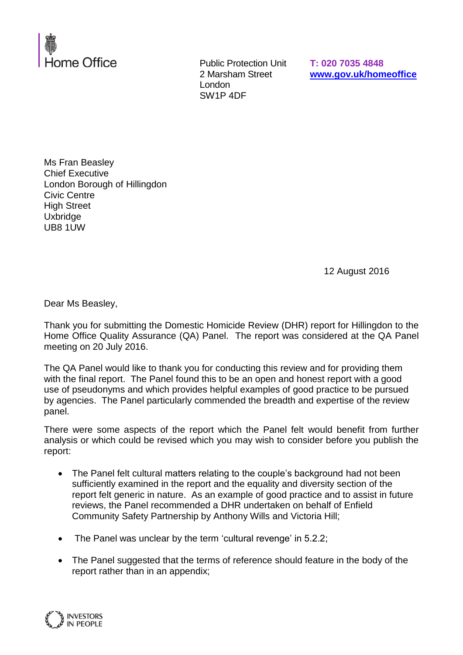

Public Protection Unit 2 Marsham Street London SW1P 4DF

**T: 020 7035 4848 [www.gov.uk/homeoffice](http://www.gov.uk/homeoffice)**

Ms Fran Beasley Chief Executive London Borough of Hillingdon Civic Centre High Street Uxbridge UB8 1UW

12 August 2016

Dear Ms Beasley,

Thank you for submitting the Domestic Homicide Review (DHR) report for Hillingdon to the Home Office Quality Assurance (QA) Panel. The report was considered at the QA Panel meeting on 20 July 2016.

The QA Panel would like to thank you for conducting this review and for providing them with the final report. The Panel found this to be an open and honest report with a good use of pseudonyms and which provides helpful examples of good practice to be pursued by agencies. The Panel particularly commended the breadth and expertise of the review panel.

There were some aspects of the report which the Panel felt would benefit from further analysis or which could be revised which you may wish to consider before you publish the report:

- The Panel felt cultural matters relating to the couple's background had not been sufficiently examined in the report and the equality and diversity section of the report felt generic in nature. As an example of good practice and to assist in future reviews, the Panel recommended a DHR undertaken on behalf of Enfield Community Safety Partnership by Anthony Wills and Victoria Hill;
- The Panel was unclear by the term 'cultural revenge' in 5.2.2;
- The Panel suggested that the terms of reference should feature in the body of the report rather than in an appendix;